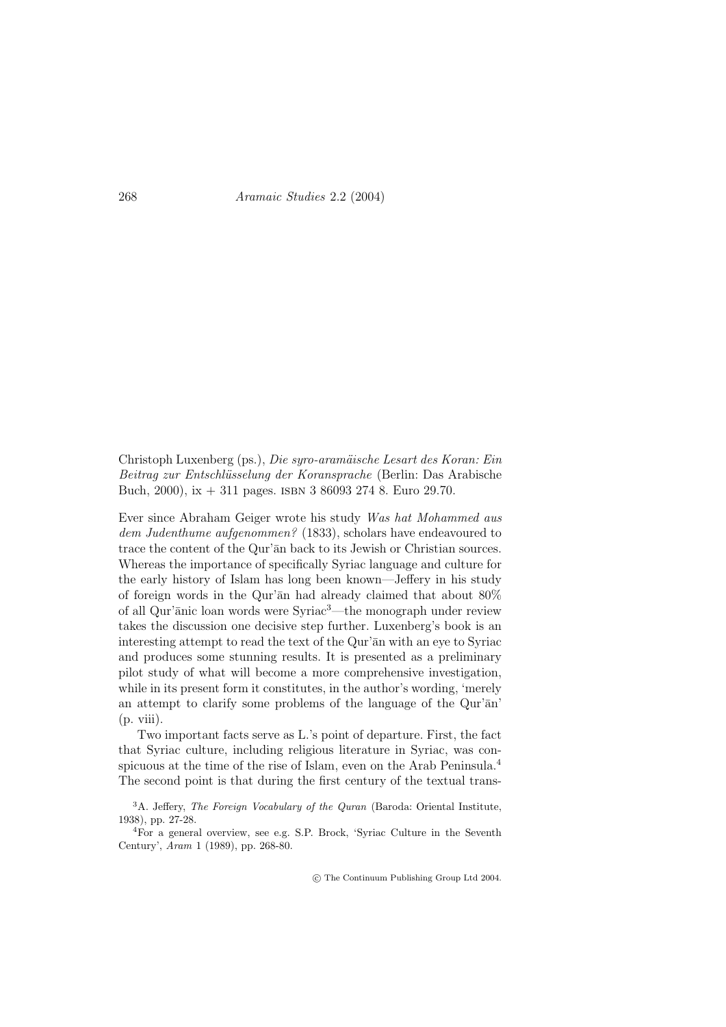Aramaic Studies 2.2 (2004)

Christoph Luxenberg (ps.), Die syro-aramäische Lesart des Koran: Ein Beitrag zur Entschlüsselung der Koransprache (Berlin: Das Arabische Buch, 2000), ix  $+311$  pages. ISBN 3 86093 274 8. Euro 29.70.

Ever since Abraham Geiger wrote his study Was hat Mohammed aus dem Judenthume aufgenommen? (1833), scholars have endeavoured to trace the content of the Qur'an back to its Jewish or Christian sources. Whereas the importance of specifically Syriac language and culture for the early history of Islam has long been known—Jeffery in his study of foreign words in the Qur'an had already claimed that about  $80\%$ of all Qur'anic loan words were Syriac<sup>3</sup>—the monograph under review takes the discussion one decisive step further. Luxenberg's book is an interesting attempt to read the text of the Qur'an with an eye to Syriac and produces some stunning results. It is presented as a preliminary pilot study of what will become a more comprehensive investigation, while in its present form it constitutes, in the author's wording, 'merely an attempt to clarify some problems of the language of the Qur'an'  $(p. viii).$ 

Two important facts serve as L's point of departure. First, the fact that Syriac culture, including religious literature in Syriac, was conspicuous at the time of the rise of Islam, even on the Arab Peninsula.<sup>4</sup> The second point is that during the first century of the textual trans-

 ${}^{3}$ A. Jeffery, *The Foreign Vocabulary of the Quran* (Baroda: Oriental Institute, 1938), pp. 27-28.

<sup>4</sup>For a general overview, see e.g. S.P. Brock, 'Syriac Culture in the Seventh Century', Aram 1 (1989), pp. 268-80.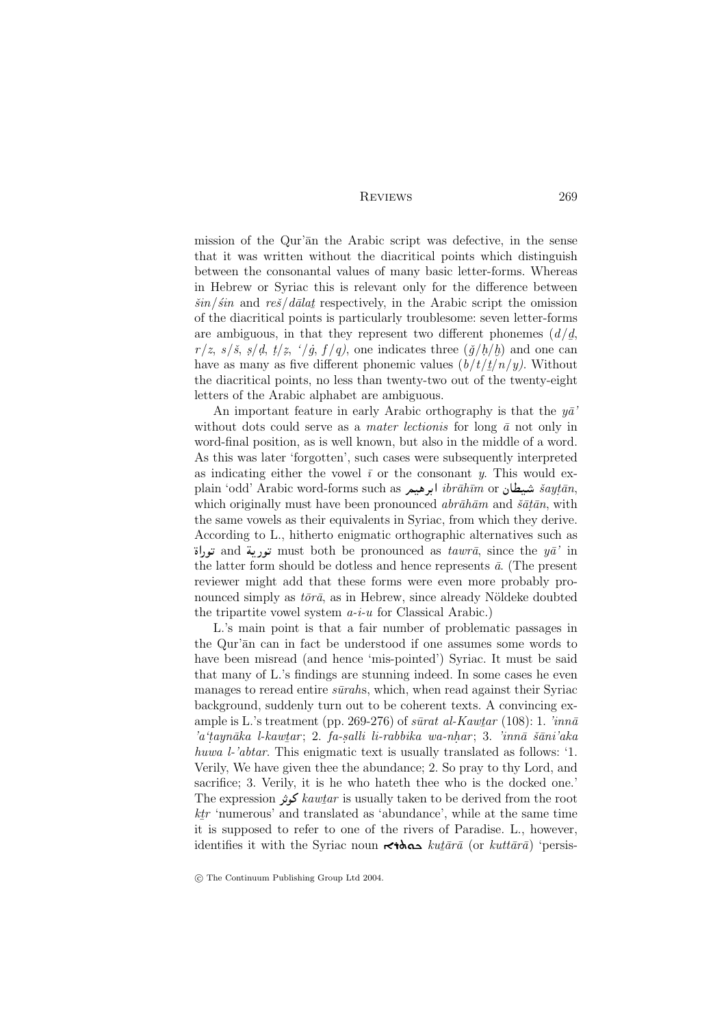## **REVIEWS**

mission of the Qur'an the Arabic script was defective, in the sense that it was written without the diacritical points which distinguish between the consonantal values of many basic letter-forms. Whereas in Hebrew or Syriac this is relevant only for the difference between  $\frac{\sin}{\sin}$  and  $\frac{res}{\sinh}$  respectively, in the Arabic script the omission of the diacritical points is particularly troublesome: seven letter-forms are ambiguous, in that they represent two different phonemes  $(d/d, d)$  $r/z$ ,  $s/\tilde{s}$ ,  $s/d$ ,  $t/z$ ,  $\dot{\ }/g$ ,  $f/q$ ), one indicates three  $(\check{g}/h/b)$  and one can have as many as five different phonemic values  $(b/t/t/n/y)$ . Without the diacritical points, no less than twenty-two out of the twenty-eight letters of the Arabic alphabet are ambiguous.

An important feature in early Arabic orthography is that the  $y\bar{a}$ without dots could serve as a *mater lectionis* for long  $\bar{a}$  not only in word-final position, as is well known, but also in the middle of a word. As this was later 'forgotten', such cases were subsequently interpreted as indicating either the vowel  $\bar{i}$  or the consonant y. This would explain 'odd' Arabic word-forms such as ابرهيم ibrāhīm or شبيطان šaytān, which originally must have been pronounced  $abr\bar{a}h\bar{a}m$  and  $\tilde{s}a\bar{t}\bar{a}n$ , with the same vowels as their equivalents in Syriac, from which they derive. According to L., hitherto enigmatic orthographic alternatives such as توراة must both be pronounced as tawrā, since the  $y\bar{a}$ ' in تورية  $\pi$ ' in the latter form should be dotless and hence represents  $\bar{a}$ . (The present reviewer might add that these forms were even more probably pronounced simply as  $t\bar{o}r\bar{a}$ , as in Hebrew, since already Nöldeke doubted the tripartite vowel system  $a-i-u$  for Classical Arabic.)

L's main point is that a fair number of problematic passages in the Qur'an can in fact be understood if one assumes some words to have been misread (and hence 'mis-pointed') Syriac. It must be said that many of L's findings are stunning indeed. In some cases he even manages to reread entire *sūrahs*, which, when read against their Syriac background, suddenly turn out to be coherent texts. A convincing example is L.'s treatment (pp. 269-276) of surat al-Kawtar (108): 1.  $\lim_{n \to \infty}$ 'a'taynāka l-kawtar; 2. fa-salli li-rabbika wa-nhar; 3. 'innā šāni'aka huwa l-'abtar. This enigmatic text is usually translated as follows: '1. Verily, We have given thee the abundance: 2. So pray to thy Lord, and sacrifice; 3. Verily, it is he who hate th the who is the docked one. The expression كونز kawtar is usually taken to be derived from the root  $k\ell r$  'numerous' and translated as 'abundance', while at the same time it is supposed to refer to one of the rivers of Paradise. L., however, identifies it with the Syriac noun  $\star \star$  and  $\star u_t$  and  $\star u_t$  for  $kult\bar{a}\tau\bar{a}$  (or  $kult\bar{a}\tau\bar{a}$ ) 'persis-

© The Continuum Publishing Group Ltd 2004.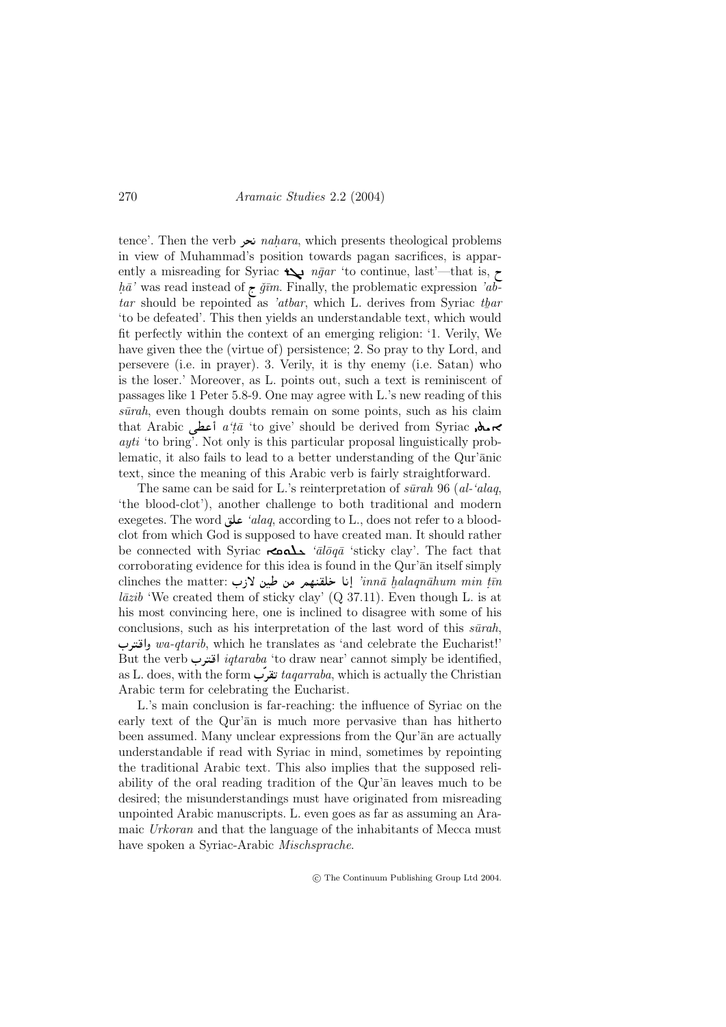## Aramaic Studies 2.2 (2004)

tence'. Then the verb نحر nahara, which presents theological problems in view of Muhammad's position towards pagan sacrifices, is apparently a misreading for Syriac  $\bigstar$  ngar 'to continue, last'—that is,  $\tau$  $h\bar{a}'$  was read instead of  $\bar{r}$  gim. Finally, the problematic expression 'abtar should be repointed as 'atbar, which L. derives from Syriac than 'to be defeated'. This then yields an understandable text, which would fit perfectly within the context of an emerging religion: '1. Verily, We have given thee the (virtue of) persistence; 2. So pray to thy Lord, and persevere (i.e. in prayer). 3. Verily, it is thy enemy (i.e. Satan) who is the loser.' Moreover, as L. points out, such a text is reminiscent of passages like 1 Peter 5.8-9. One may agree with L's new reading of this  $s\bar{u}rah$ , even though doubts remain on some points, such as his claim that Arabic أعطى a'tā 'to give' should be derived from Syriac محمد *ayti* 'to bring'. Not only is this particular proposal linguistically problematic, it also fails to lead to a better understanding of the Qur'anic text, since the meaning of this Arabic verb is fairly straightforward.

The same can be said for L.'s reinterpretation of  $\sinh 96$  (al-'alaq. 'the blood-clot'), another challenge to both traditional and modern exegetes. The word ناق 'alaq, according to L., does not refer to a bloodclot from which God is supposed to have created man. It should rather be connected with Syriac  $\triangle$   $\Delta$   $i\bar{a}l\bar{o}q\bar{a}$  'sticky clay'. The fact that corroborating evidence for this idea is found in the Qur'an itself simply clinches the matter: إنا خلقنهم من طين لازب :innā halaqnāhum min țīn  $l\bar{a}zib$  'We created them of sticky clay' (Q 37.11). Even though L is at his most convincing here, one is inclined to disagree with some of his conclusions, such as his interpretation of the last word of this  $s\bar{u}rah$ , واقترب wa-qtarib, which he translates as 'and celebrate the Eucharist!' But the verb اقترب *iqtaraba* 'to draw near' cannot simply be identified, as L. does, with the form تقرب taqarraba, which is actually the Christian Arabic term for celebrating the Eucharist.

L's main conclusion is far-reaching: the influence of Syriac on the early text of the Qur'an is much more pervasive than has hitherto been assumed. Many unclear expressions from the Qur'an are actually understandable if read with Syriac in mind, sometimes by repointing the traditional Arabic text. This also implies that the supposed reliability of the oral reading tradition of the Qur'an leaves much to be desired; the misunderstandings must have originated from misreading unpointed Arabic manuscripts. L. even goes as far as assuming an Aramaic Urkoran and that the language of the inhabitants of Mecca must have spoken a Syriac-Arabic Mischsprache.

270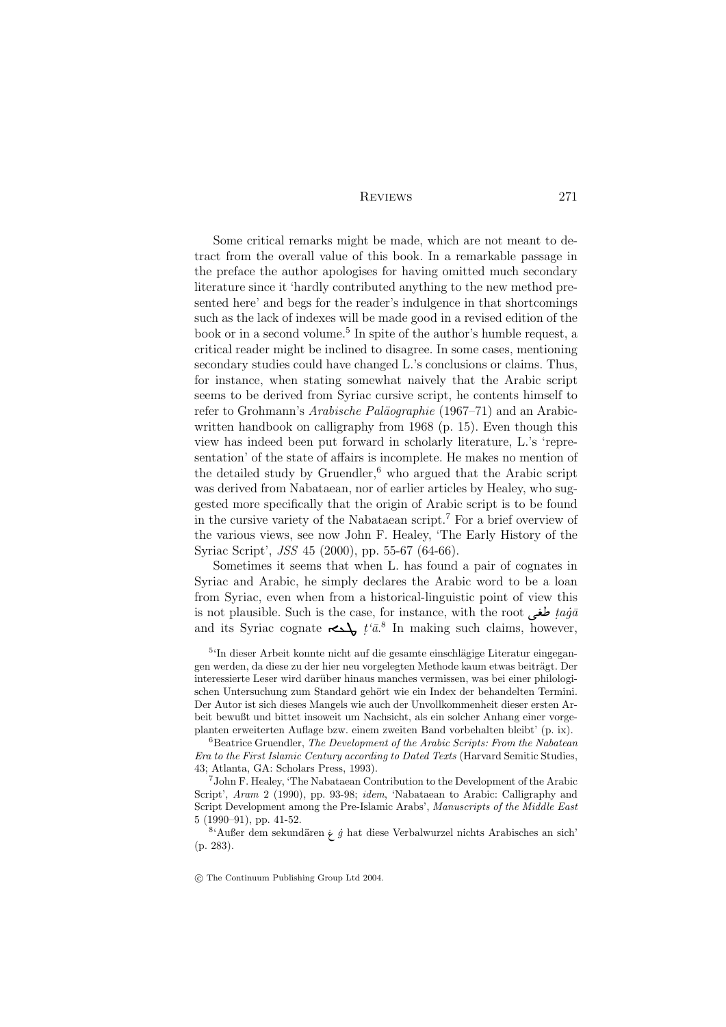**REVIEWS** 

Some critical remarks might be made, which are not meant to detract from the overall value of this book. In a remarkable passage in the preface the author apologises for having omitted much secondary literature since it 'hardly contributed anything to the new method presented here' and begs for the reader's indulgence in that shortcomings such as the lack of indexes will be made good in a revised edition of the book or in a second volume.<sup>5</sup> In spite of the author's humble request, a critical reader might be inclined to disagree. In some cases, mentioning secondary studies could have changed L's conclusions or claims. Thus, for instance, when stating somewhat naively that the Arabic script seems to be derived from Syriac cursive script, he contents himself to refer to Grohmann's *Arabische Paläographie* (1967–71) and an Arabicwritten handbook on calligraphy from 1968 (p. 15). Even though this view has indeed been put forward in scholarly literature, L.'s 'representation' of the state of affairs is incomplete. He makes no mention of the detailed study by Gruendler, $6$  who argued that the Arabic script was derived from Nabataean, nor of earlier articles by Healey, who suggested more specifically that the origin of Arabic script is to be found in the cursive variety of the Nabataean script.<sup>7</sup> For a brief overview of the various views, see now John F. Healey, 'The Early History of the Syriac Script', *JSS* 45 (2000), pp. 55-67 (64-66).

Sometimes it seems that when L. has found a pair of cognates in Syriac and Arabic, he simply declares the Arabic word to be a loan from Syriac, even when from a historical-linguistic point of view this is not plausible. Such is the case, for instance, with the root  $\vec{aa}$ and its Syriac cognate  $\longleftrightarrow$   $t'\bar{a}^8$  In making such claims, however,

 $^{54}$ In dieser Arbeit konnte nicht auf die gesamte einschlägige Literatur eingegangen werden, da diese zu der hier neu vorgelegten Methode kaum etwas beiträgt. Der interessierte Leser wird darüber hinaus manches vermissen, was bei einer philologischen Untersuchung zum Standard gehört wie ein Index der behandelten Termini. Der Autor ist sich dieses Mangels wie auch der Unvollkommenheit dieser ersten Arbeit bewußt und bittet insoweit um Nachsicht, als ein solcher Anhang einer vorgeplanten erweiterten Auflage bzw. einem zweiten Band vorbehalten bleibt' (p. ix).

 ${}^6$ Beatrice Gruendler. The Development of the Arabic Scripts: From the Nabatean Era to the First Islamic Century according to Dated Texts (Harvard Semitic Studies, 43: Atlanta, GA: Scholars Press, 1993).

<sup>7</sup>John F. Healey, 'The Nabataean Contribution to the Development of the Arabic Script', Aram 2 (1990), pp. 93-98; idem, 'Nabataean to Arabic: Calligraphy and Script Development among the Pre-Islamic Arabs', Manuscripts of the Middle East  $5(1990-91)$ , pp. 41-52.

<sup>8</sup>'Außer dem sekundären  $\frac{1}{\gamma}$  *g* hat diese Verbalwurzel nichts Arabisches an sich  $(p. 283)$ .

© The Continuum Publishing Group Ltd 2004.